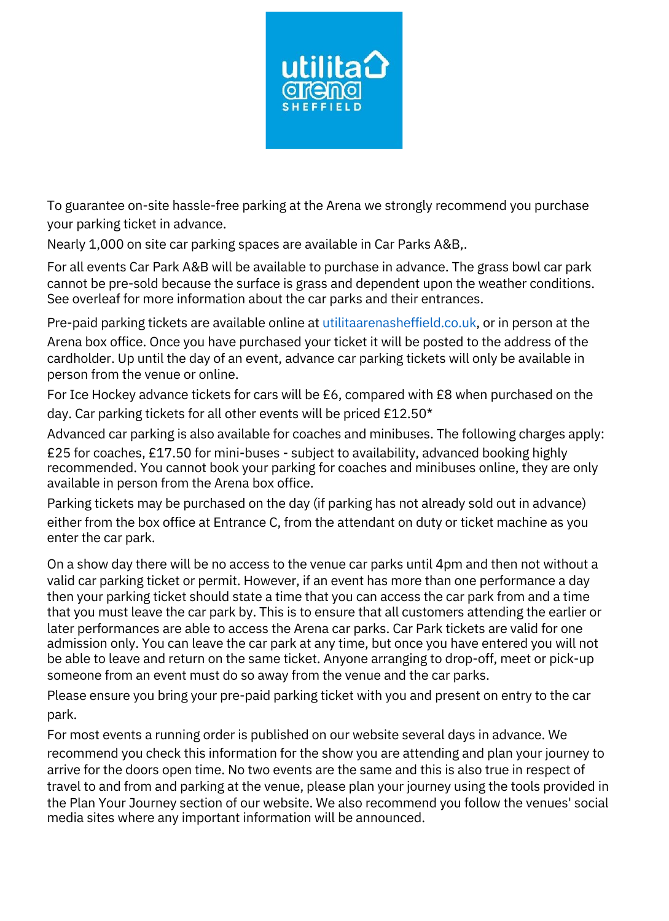

To guarantee on-site hassle-free parking at the Arena we strongly recommend you purchase your parking ticket in advance.

Nearly 1,000 on site car parking spaces are available in Car Parks A&B,.

For all events Car Park A&B will be available to purchase in advance. The grass bowl car park cannot be pre-sold because the surface is grass and dependent upon the weather conditions. See overleaf for more information about the car parks and their entrances.

Pre-paid parking tickets are available online at utilitaarenasheffield.co.uk, or in person at the Arena box office. Once you have purchased your ticket it will be posted to the address of the cardholder. Up until the day of an event, advance car parking tickets will only be available in person from the venue or online.

For Ice Hockey advance tickets for cars will be £6, compared with £8 when purchased on the day. Car parking tickets for all other events will be priced £12.50\*

Advanced car parking is also available for coaches and minibuses. The following charges apply:

£25 for coaches, £17.50 for mini-buses - subject to availability, advanced booking highly recommended. You cannot book your parking for coaches and minibuses online, they are only available in person from the Arena box office.

Parking tickets may be purchased on the day (if parking has not already sold out in advance) either from the box office at Entrance C, from the attendant on duty or ticket machine as you enter the car park.

On a show day there will be no access to the venue car parks until 4pm and then not without a valid car parking ticket or permit. However, if an event has more than one performance a day then your parking ticket should state a time that you can access the car park from and a time that you must leave the car park by. This is to ensure that all customers attending the earlier or later performances are able to access the Arena car parks. Car Park tickets are valid for one admission only. You can leave the car park at any time, but once you have entered you will not be able to leave and return on the same ticket. Anyone arranging to drop-off, meet or pick-up someone from an event must do so away from the venue and the car parks.

Please ensure you bring your pre-paid parking ticket with you and present on entry to the car park.

For most events a running order is published on our website several days in advance. We recommend you check this information for the show you are attending and plan your journey to arrive for the doors open time. No two events are the same and this is also true in respect of travel to and from and parking at the venue, please plan your journey using the tools provided in the Plan Your Journey section of our website. We also recommend you follow the venues' social media sites where any important information will be announced.